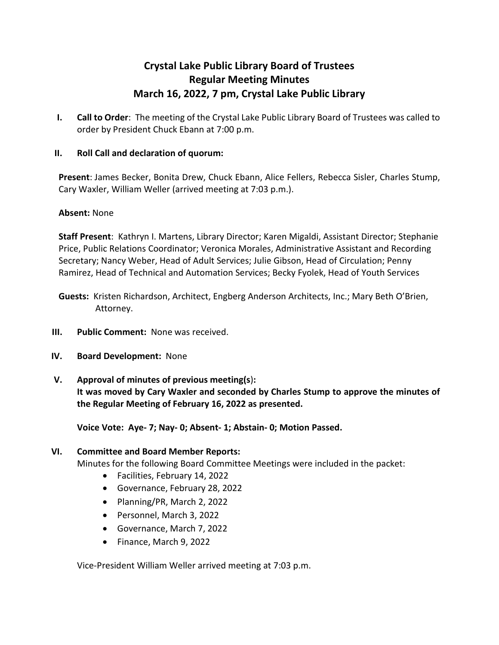# **Crystal Lake Public Library Board of Trustees Regular Meeting Minutes March 16, 2022, 7 pm, Crystal Lake Public Library**

**I. Call to Order**: The meeting of the Crystal Lake Public Library Board of Trustees was called to order by President Chuck Ebann at 7:00 p.m.

# **II. Roll Call and declaration of quorum:**

**Present**: James Becker, Bonita Drew, Chuck Ebann, Alice Fellers, Rebecca Sisler, Charles Stump, Cary Waxler, William Weller (arrived meeting at 7:03 p.m.).

## **Absent:** None

**Staff Present**: Kathryn I. Martens, Library Director; Karen Migaldi, Assistant Director; Stephanie Price, Public Relations Coordinator; Veronica Morales, Administrative Assistant and Recording Secretary; Nancy Weber, Head of Adult Services; Julie Gibson, Head of Circulation; Penny Ramirez, Head of Technical and Automation Services; Becky Fyolek, Head of Youth Services

- **Guests:** Kristen Richardson, Architect, Engberg Anderson Architects, Inc.; Mary Beth O'Brien, Attorney.
- **III. Public Comment:** None was received.
- **IV. Board Development:** None
- **V. Approval of minutes of previous meeting(s**)**: It was moved by Cary Waxler and seconded by Charles Stump to approve the minutes of the Regular Meeting of February 16, 2022 as presented.**

**Voice Vote: Aye- 7; Nay- 0; Absent- 1; Abstain- 0; Motion Passed.**

## **VI. Committee and Board Member Reports:**

Minutes for the following Board Committee Meetings were included in the packet:

- Facilities, February 14, 2022
- Governance, February 28, 2022
- Planning/PR, March 2, 2022
- Personnel, March 3, 2022
- Governance, March 7, 2022
- Finance, March 9, 2022

Vice-President William Weller arrived meeting at 7:03 p.m.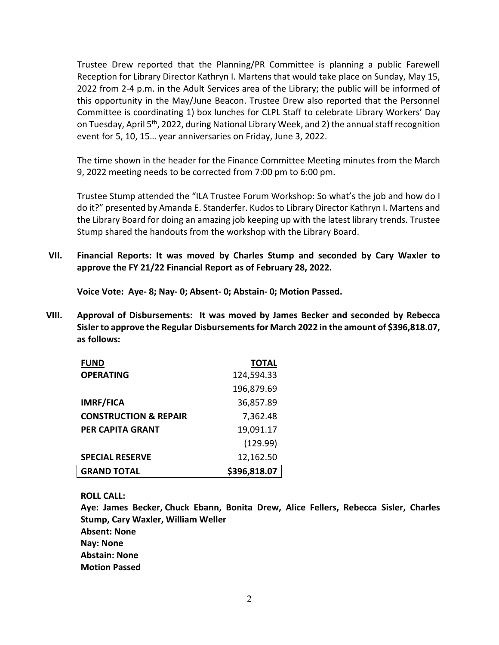Trustee Drew reported that the Planning/PR Committee is planning a public Farewell Reception for Library Director Kathryn I. Martens that would take place on Sunday, May 15, 2022 from 2-4 p.m. in the Adult Services area of the Library; the public will be informed of this opportunity in the May/June Beacon. Trustee Drew also reported that the Personnel Committee is coordinating 1) box lunches for CLPL Staff to celebrate Library Workers' Day on Tuesday, April 5<sup>th</sup>, 2022, during National Library Week, and 2) the annual staff recognition event for 5, 10, 15… year anniversaries on Friday, June 3, 2022.

The time shown in the header for the Finance Committee Meeting minutes from the March 9, 2022 meeting needs to be corrected from 7:00 pm to 6:00 pm.

Trustee Stump attended the "ILA Trustee Forum Workshop: So what's the job and how do I do it?" presented by Amanda E. Standerfer. Kudos to Library Director Kathryn I. Martens and the Library Board for doing an amazing job keeping up with the latest library trends. Trustee Stump shared the handouts from the workshop with the Library Board.

**VII. Financial Reports: It was moved by Charles Stump and seconded by Cary Waxler to approve the FY 21/22 Financial Report as of February 28, 2022.**

**Voice Vote: Aye- 8; Nay- 0; Absent- 0; Abstain- 0; Motion Passed.** 

**VIII. Approval of Disbursements: It was moved by James Becker and seconded by Rebecca Sislerto approve the Regular Disbursementsfor March 2022 in the amount of \$396,818.07, as follows:**

| <b>FUND</b>                      | <b>TOTAL</b> |
|----------------------------------|--------------|
| <b>OPERATING</b>                 | 124,594.33   |
|                                  | 196,879.69   |
| <b>IMRF/FICA</b>                 | 36,857.89    |
| <b>CONSTRUCTION &amp; REPAIR</b> | 7,362.48     |
| PER CAPITA GRANT                 | 19,091.17    |
|                                  | (129.99)     |
| <b>SPECIAL RESERVE</b>           | 12,162.50    |
| <b>GRAND TOTAL</b>               | \$396,818.07 |

**ROLL CALL:**

**Aye: James Becker, Chuck Ebann, Bonita Drew, Alice Fellers, Rebecca Sisler, Charles Stump, Cary Waxler, William Weller Absent: None Nay: None Abstain: None Motion Passed**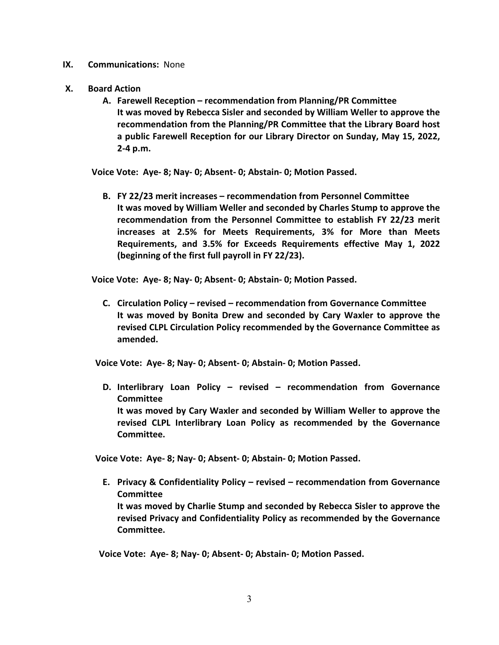- **IX. Communications:** None
- **X. Board Action**
	- **A. Farewell Reception – recommendation from Planning/PR Committee It was moved by Rebecca Sisler and seconded by William Weller to approve the recommendation from the Planning/PR Committee that the Library Board host a public Farewell Reception for our Library Director on Sunday, May 15, 2022, 2-4 p.m.**

**Voice Vote: Aye- 8; Nay- 0; Absent- 0; Abstain- 0; Motion Passed.** 

**B. FY 22/23 merit increases – recommendation from Personnel Committee It was moved by William Weller and seconded by Charles Stump to approve the recommendation from the Personnel Committee to establish FY 22/23 merit increases at 2.5% for Meets Requirements, 3% for More than Meets Requirements, and 3.5% for Exceeds Requirements effective May 1, 2022 (beginning of the first full payroll in FY 22/23).**

**Voice Vote: Aye- 8; Nay- 0; Absent- 0; Abstain- 0; Motion Passed.** 

**C. Circulation Policy – revised – recommendation from Governance Committee It was moved by Bonita Drew and seconded by Cary Waxler to approve the revised CLPL Circulation Policy recommended by the Governance Committee as amended.**

**Voice Vote: Aye- 8; Nay- 0; Absent- 0; Abstain- 0; Motion Passed.** 

**D. Interlibrary Loan Policy – revised – recommendation from Governance Committee It was moved by Cary Waxler and seconded by William Weller to approve the revised CLPL Interlibrary Loan Policy as recommended by the Governance Committee.**

**Voice Vote: Aye- 8; Nay- 0; Absent- 0; Abstain- 0; Motion Passed.** 

**E. Privacy & Confidentiality Policy – revised – recommendation from Governance Committee It was moved by Charlie Stump and seconded by Rebecca Sisler to approve the revised Privacy and Confidentiality Policy as recommended by the Governance Committee.**

**Voice Vote: Aye- 8; Nay- 0; Absent- 0; Abstain- 0; Motion Passed.**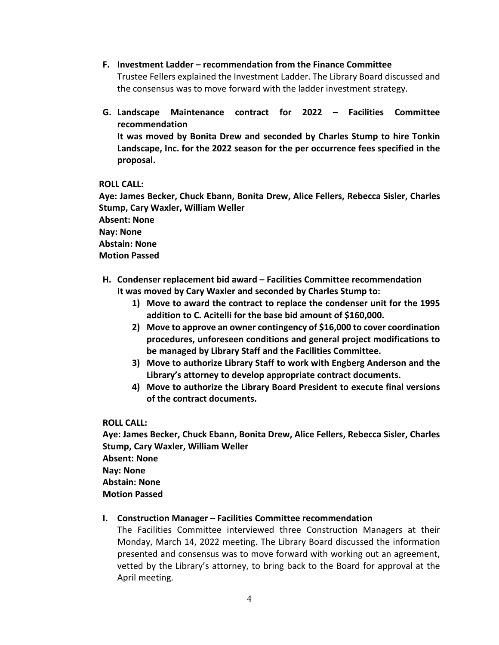- **F. Investment Ladder – recommendation from the Finance Committee** Trustee Fellers explained the Investment Ladder. The Library Board discussed and the consensus was to move forward with the ladder investment strategy.
- **G. Landscape Maintenance contract for 2022 – Facilities Committee recommendation It was moved by Bonita Drew and seconded by Charles Stump to hire Tonkin Landscape, Inc. for the 2022 season for the per occurrence fees specified in the proposal.**

## **ROLL CALL:**

**Aye: James Becker, Chuck Ebann, Bonita Drew, Alice Fellers, Rebecca Sisler, Charles Stump, Cary Waxler, William Weller Absent: None Nay: None Abstain: None Motion Passed**

- **H. Condenser replacement bid award – Facilities Committee recommendation It was moved by Cary Waxler and seconded by Charles Stump to:**
	- **1) Move to award the contract to replace the condenser unit for the 1995 addition to C. Acitelli for the base bid amount of \$160,000.**
	- **2) Move to approve an owner contingency of \$16,000 to cover coordination procedures, unforeseen conditions and general project modifications to be managed by Library Staff and the Facilities Committee.**
	- **3) Move to authorize Library Staff to work with Engberg Anderson and the Library's attorney to develop appropriate contract documents.**
	- **4) Move to authorize the Library Board President to execute final versions of the contract documents.**

## **ROLL CALL:**

**Aye: James Becker, Chuck Ebann, Bonita Drew, Alice Fellers, Rebecca Sisler, Charles Stump, Cary Waxler, William Weller Absent: None Nay: None Abstain: None Motion Passed**

## **I. Construction Manager – Facilities Committee recommendation**

The Facilities Committee interviewed three Construction Managers at their Monday, March 14, 2022 meeting. The Library Board discussed the information presented and consensus was to move forward with working out an agreement, vetted by the Library's attorney, to bring back to the Board for approval at the April meeting.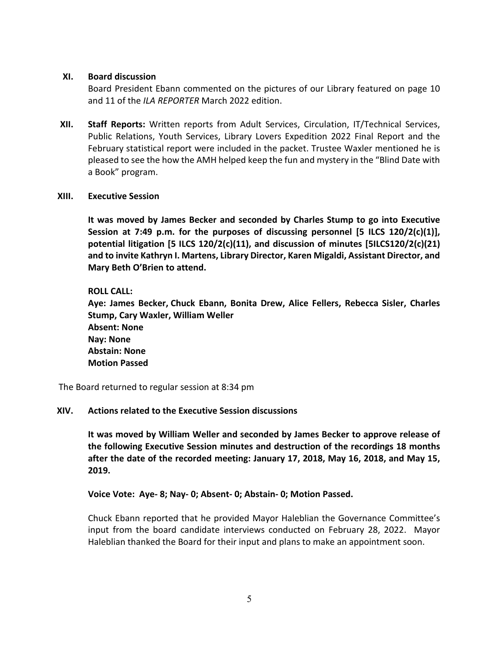#### **XI. Board discussion**

Board President Ebann commented on the pictures of our Library featured on page 10 and 11 of the *ILA REPORTER* March 2022 edition.

**XII. Staff Reports:** Written reports from Adult Services, Circulation, IT/Technical Services, Public Relations, Youth Services, Library Lovers Expedition 2022 Final Report and the February statistical report were included in the packet. Trustee Waxler mentioned he is pleased to see the how the AMH helped keep the fun and mystery in the "Blind Date with a Book" program.

#### **XIII. Executive Session**

**It was moved by James Becker and seconded by Charles Stump to go into Executive Session at 7:49 p.m. for the purposes of discussing personnel [5 ILCS 120/2(c)(1)], potential litigation [5 ILCS 120/2(c)(11), and discussion of minutes [5ILCS120/2(c)(21) and to invite Kathryn I. Martens, Library Director, Karen Migaldi, Assistant Director, and Mary Beth O'Brien to attend.**

## **ROLL CALL:**

**Aye: James Becker, Chuck Ebann, Bonita Drew, Alice Fellers, Rebecca Sisler, Charles Stump, Cary Waxler, William Weller Absent: None Nay: None Abstain: None Motion Passed**

The Board returned to regular session at 8:34 pm

## **XIV. Actions related to the Executive Session discussions**

**It was moved by William Weller and seconded by James Becker to approve release of the following Executive Session minutes and destruction of the recordings 18 months after the date of the recorded meeting: January 17, 2018, May 16, 2018, and May 15, 2019.**

## **Voice Vote: Aye- 8; Nay- 0; Absent- 0; Abstain- 0; Motion Passed.**

Chuck Ebann reported that he provided Mayor Haleblian the Governance Committee's input from the board candidate interviews conducted on February 28, 2022. Mayor Haleblian thanked the Board for their input and plans to make an appointment soon.